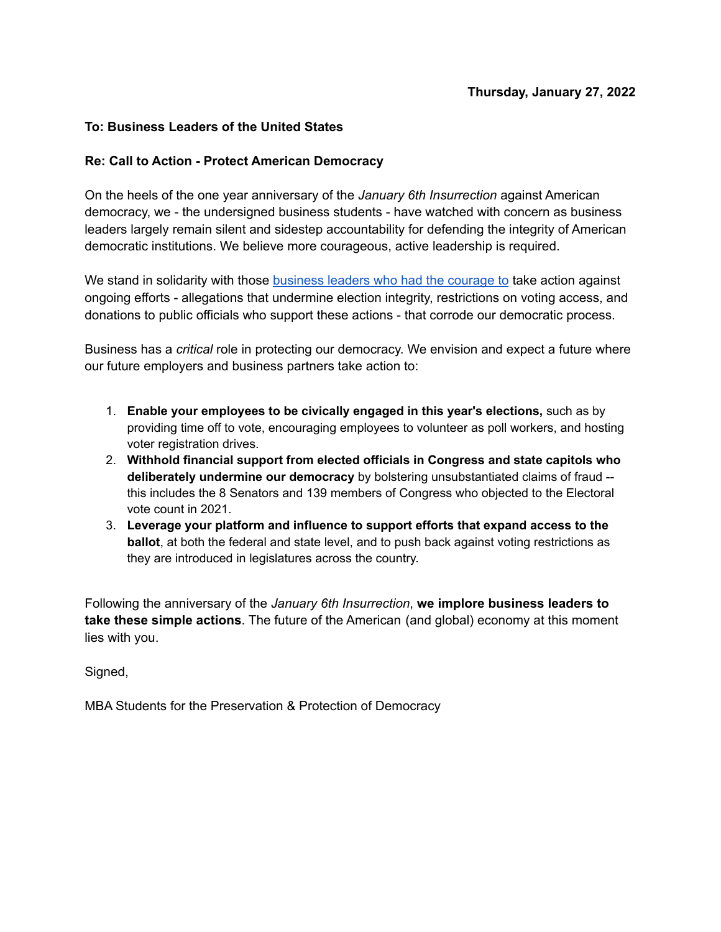## **To: Business Leaders of the United States**

## **Re: Call to Action - Protect American Democracy**

On the heels of the one year anniversary of the *January 6th Insurrection* against American democracy, we - the undersigned business students - have watched with concern as business leaders largely remain silent and sidestep accountability for defending the integrity of American democratic institutions. We believe more courageous, active leadership is required.

We stand in solidarity with those [business](https://www.freedomtovotealliance.com/sign-on-letter) leaders who had the courage to take action against ongoing efforts - allegations that undermine election integrity, restrictions on voting access, and donations to public officials who support these actions - that corrode our democratic process.

Business has a *critical* role in protecting our democracy. We envision and expect a future where our future employers and business partners take action to:

- 1. **Enable your employees to be civically engaged in this year's elections,** such as by providing time off to vote, encouraging employees to volunteer as poll workers, and hosting voter registration drives.
- 2. **Withhold financial support from elected officials in Congress and state capitols who deliberately undermine our democracy** by bolstering unsubstantiated claims of fraud - this includes the 8 Senators and 139 members of Congress who objected to the Electoral vote count in 2021.
- 3. **Leverage your platform and influence to support efforts that expand access to the ballot**, at both the federal and state level, and to push back against voting restrictions as they are introduced in legislatures across the country.

Following the anniversary of the *January 6th Insurrection*, **we implore business leaders to take these simple actions**. The future of the American (and global) economy at this moment lies with you.

Signed,

MBA Students for the Preservation & Protection of Democracy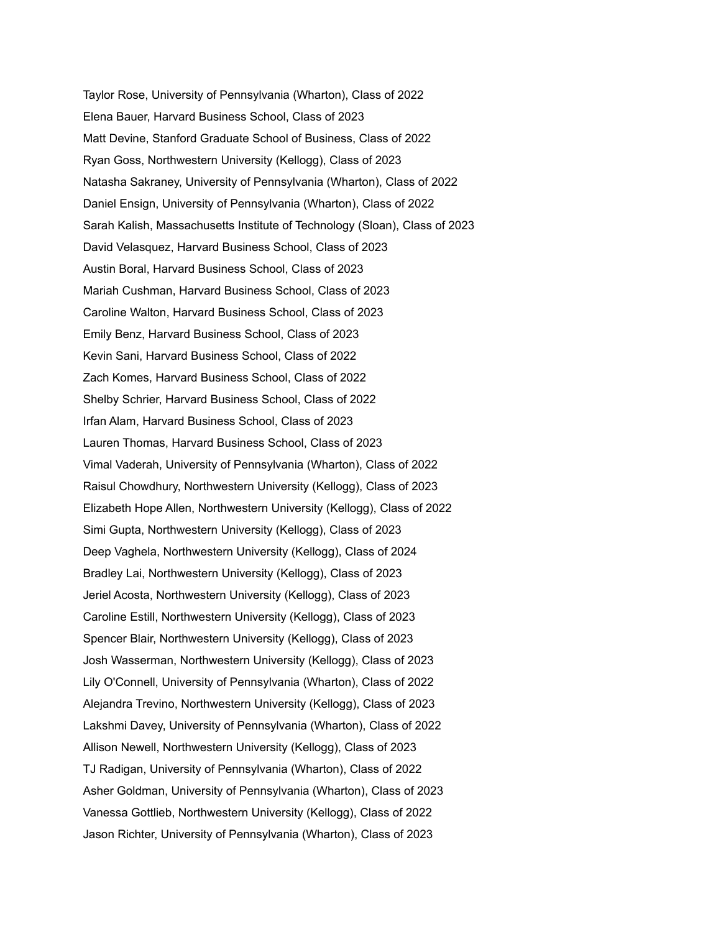Taylor Rose, University of Pennsylvania (Wharton), Class of 2022 Elena Bauer, Harvard Business School, Class of 2023 Matt Devine, Stanford Graduate School of Business, Class of 2022 Ryan Goss, Northwestern University (Kellogg), Class of 2023 Natasha Sakraney, University of Pennsylvania (Wharton), Class of 2022 Daniel Ensign, University of Pennsylvania (Wharton), Class of 2022 Sarah Kalish, Massachusetts Institute of Technology (Sloan), Class of 2023 David Velasquez, Harvard Business School, Class of 2023 Austin Boral, Harvard Business School, Class of 2023 Mariah Cushman, Harvard Business School, Class of 2023 Caroline Walton, Harvard Business School, Class of 2023 Emily Benz, Harvard Business School, Class of 2023 Kevin Sani, Harvard Business School, Class of 2022 Zach Komes, Harvard Business School, Class of 2022 Shelby Schrier, Harvard Business School, Class of 2022 Irfan Alam, Harvard Business School, Class of 2023 Lauren Thomas, Harvard Business School, Class of 2023 Vimal Vaderah, University of Pennsylvania (Wharton), Class of 2022 Raisul Chowdhury, Northwestern University (Kellogg), Class of 2023 Elizabeth Hope Allen, Northwestern University (Kellogg), Class of 2022 Simi Gupta, Northwestern University (Kellogg), Class of 2023 Deep Vaghela, Northwestern University (Kellogg), Class of 2024 Bradley Lai, Northwestern University (Kellogg), Class of 2023 Jeriel Acosta, Northwestern University (Kellogg), Class of 2023 Caroline Estill, Northwestern University (Kellogg), Class of 2023 Spencer Blair, Northwestern University (Kellogg), Class of 2023 Josh Wasserman, Northwestern University (Kellogg), Class of 2023 Lily O'Connell, University of Pennsylvania (Wharton), Class of 2022 Alejandra Trevino, Northwestern University (Kellogg), Class of 2023 Lakshmi Davey, University of Pennsylvania (Wharton), Class of 2022 Allison Newell, Northwestern University (Kellogg), Class of 2023 TJ Radigan, University of Pennsylvania (Wharton), Class of 2022 Asher Goldman, University of Pennsylvania (Wharton), Class of 2023 Vanessa Gottlieb, Northwestern University (Kellogg), Class of 2022 Jason Richter, University of Pennsylvania (Wharton), Class of 2023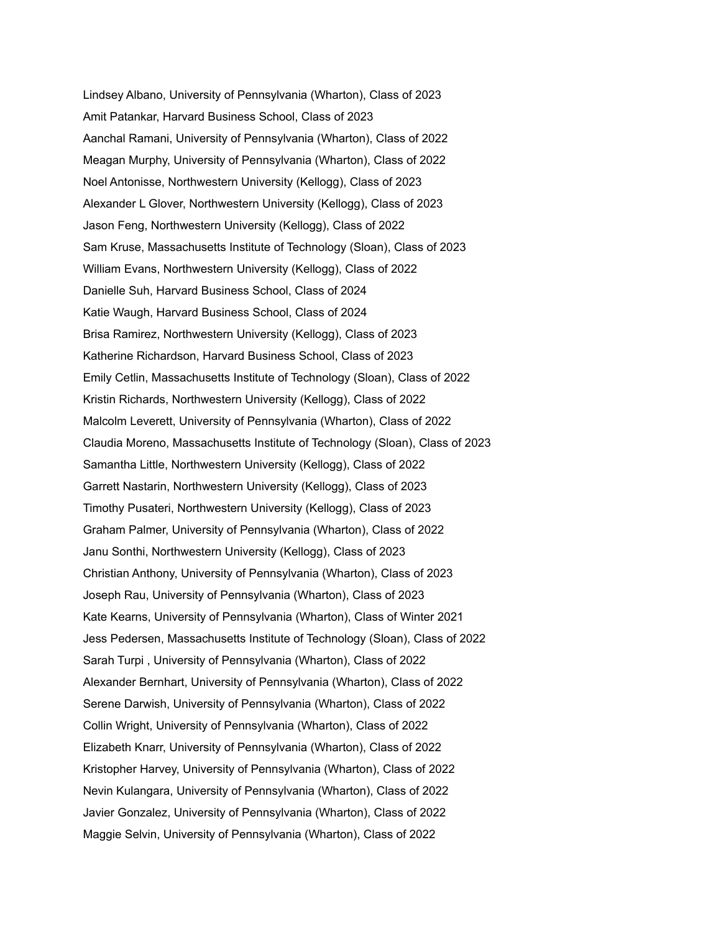Lindsey Albano, University of Pennsylvania (Wharton), Class of 2023 Amit Patankar, Harvard Business School, Class of 2023 Aanchal Ramani, University of Pennsylvania (Wharton), Class of 2022 Meagan Murphy, University of Pennsylvania (Wharton), Class of 2022 Noel Antonisse, Northwestern University (Kellogg), Class of 2023 Alexander L Glover, Northwestern University (Kellogg), Class of 2023 Jason Feng, Northwestern University (Kellogg), Class of 2022 Sam Kruse, Massachusetts Institute of Technology (Sloan), Class of 2023 William Evans, Northwestern University (Kellogg), Class of 2022 Danielle Suh, Harvard Business School, Class of 2024 Katie Waugh, Harvard Business School, Class of 2024 Brisa Ramirez, Northwestern University (Kellogg), Class of 2023 Katherine Richardson, Harvard Business School, Class of 2023 Emily Cetlin, Massachusetts Institute of Technology (Sloan), Class of 2022 Kristin Richards, Northwestern University (Kellogg), Class of 2022 Malcolm Leverett, University of Pennsylvania (Wharton), Class of 2022 Claudia Moreno, Massachusetts Institute of Technology (Sloan), Class of 2023 Samantha Little, Northwestern University (Kellogg), Class of 2022 Garrett Nastarin, Northwestern University (Kellogg), Class of 2023 Timothy Pusateri, Northwestern University (Kellogg), Class of 2023 Graham Palmer, University of Pennsylvania (Wharton), Class of 2022 Janu Sonthi, Northwestern University (Kellogg), Class of 2023 Christian Anthony, University of Pennsylvania (Wharton), Class of 2023 Joseph Rau, University of Pennsylvania (Wharton), Class of 2023 Kate Kearns, University of Pennsylvania (Wharton), Class of Winter 2021 Jess Pedersen, Massachusetts Institute of Technology (Sloan), Class of 2022 Sarah Turpi , University of Pennsylvania (Wharton), Class of 2022 Alexander Bernhart, University of Pennsylvania (Wharton), Class of 2022 Serene Darwish, University of Pennsylvania (Wharton), Class of 2022 Collin Wright, University of Pennsylvania (Wharton), Class of 2022 Elizabeth Knarr, University of Pennsylvania (Wharton), Class of 2022 Kristopher Harvey, University of Pennsylvania (Wharton), Class of 2022 Nevin Kulangara, University of Pennsylvania (Wharton), Class of 2022 Javier Gonzalez, University of Pennsylvania (Wharton), Class of 2022 Maggie Selvin, University of Pennsylvania (Wharton), Class of 2022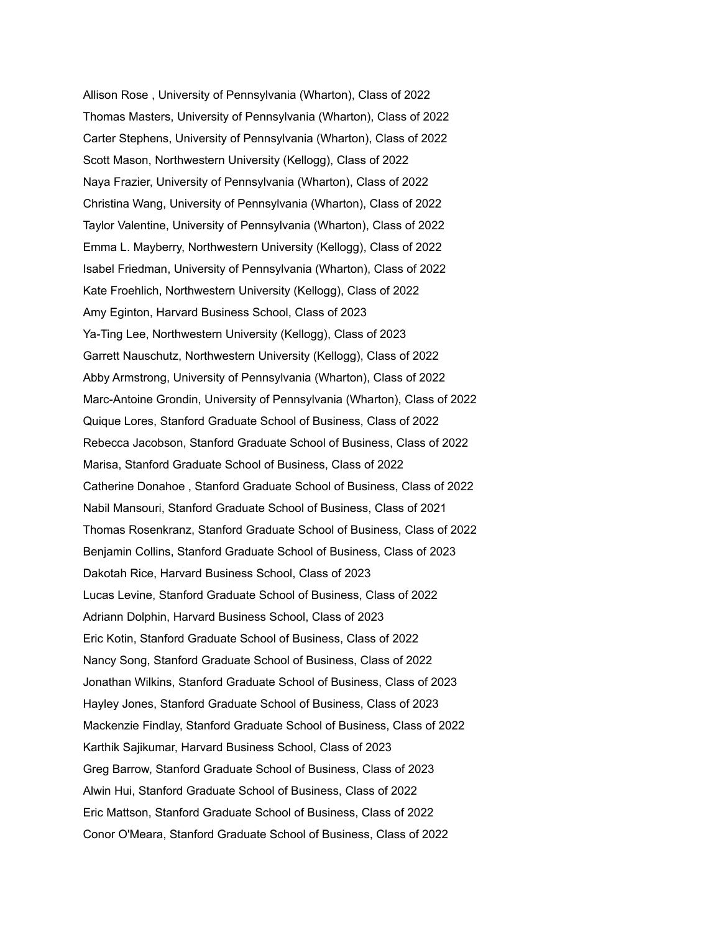Allison Rose , University of Pennsylvania (Wharton), Class of 2022 Thomas Masters, University of Pennsylvania (Wharton), Class of 2022 Carter Stephens, University of Pennsylvania (Wharton), Class of 2022 Scott Mason, Northwestern University (Kellogg), Class of 2022 Naya Frazier, University of Pennsylvania (Wharton), Class of 2022 Christina Wang, University of Pennsylvania (Wharton), Class of 2022 Taylor Valentine, University of Pennsylvania (Wharton), Class of 2022 Emma L. Mayberry, Northwestern University (Kellogg), Class of 2022 Isabel Friedman, University of Pennsylvania (Wharton), Class of 2022 Kate Froehlich, Northwestern University (Kellogg), Class of 2022 Amy Eginton, Harvard Business School, Class of 2023 Ya-Ting Lee, Northwestern University (Kellogg), Class of 2023 Garrett Nauschutz, Northwestern University (Kellogg), Class of 2022 Abby Armstrong, University of Pennsylvania (Wharton), Class of 2022 Marc-Antoine Grondin, University of Pennsylvania (Wharton), Class of 2022 Quique Lores, Stanford Graduate School of Business, Class of 2022 Rebecca Jacobson, Stanford Graduate School of Business, Class of 2022 Marisa, Stanford Graduate School of Business, Class of 2022 Catherine Donahoe , Stanford Graduate School of Business, Class of 2022 Nabil Mansouri, Stanford Graduate School of Business, Class of 2021 Thomas Rosenkranz, Stanford Graduate School of Business, Class of 2022 Benjamin Collins, Stanford Graduate School of Business, Class of 2023 Dakotah Rice, Harvard Business School, Class of 2023 Lucas Levine, Stanford Graduate School of Business, Class of 2022 Adriann Dolphin, Harvard Business School, Class of 2023 Eric Kotin, Stanford Graduate School of Business, Class of 2022 Nancy Song, Stanford Graduate School of Business, Class of 2022 Jonathan Wilkins, Stanford Graduate School of Business, Class of 2023 Hayley Jones, Stanford Graduate School of Business, Class of 2023 Mackenzie Findlay, Stanford Graduate School of Business, Class of 2022 Karthik Sajikumar, Harvard Business School, Class of 2023 Greg Barrow, Stanford Graduate School of Business, Class of 2023 Alwin Hui, Stanford Graduate School of Business, Class of 2022 Eric Mattson, Stanford Graduate School of Business, Class of 2022 Conor O'Meara, Stanford Graduate School of Business, Class of 2022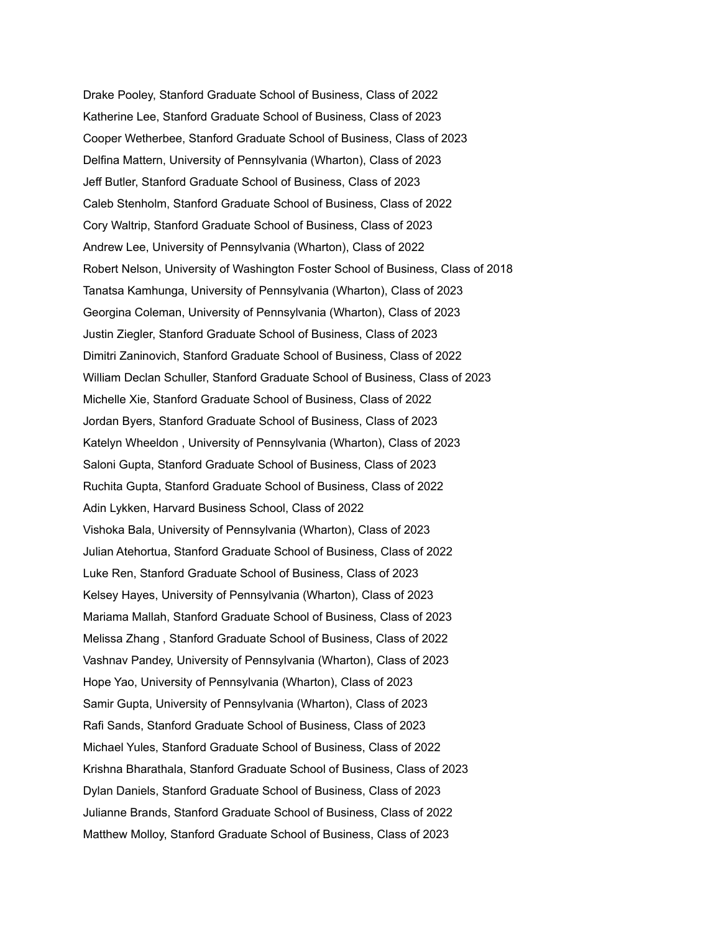Drake Pooley, Stanford Graduate School of Business, Class of 2022 Katherine Lee, Stanford Graduate School of Business, Class of 2023 Cooper Wetherbee, Stanford Graduate School of Business, Class of 2023 Delfina Mattern, University of Pennsylvania (Wharton), Class of 2023 Jeff Butler, Stanford Graduate School of Business, Class of 2023 Caleb Stenholm, Stanford Graduate School of Business, Class of 2022 Cory Waltrip, Stanford Graduate School of Business, Class of 2023 Andrew Lee, University of Pennsylvania (Wharton), Class of 2022 Robert Nelson, University of Washington Foster School of Business, Class of 2018 Tanatsa Kamhunga, University of Pennsylvania (Wharton), Class of 2023 Georgina Coleman, University of Pennsylvania (Wharton), Class of 2023 Justin Ziegler, Stanford Graduate School of Business, Class of 2023 Dimitri Zaninovich, Stanford Graduate School of Business, Class of 2022 William Declan Schuller, Stanford Graduate School of Business, Class of 2023 Michelle Xie, Stanford Graduate School of Business, Class of 2022 Jordan Byers, Stanford Graduate School of Business, Class of 2023 Katelyn Wheeldon , University of Pennsylvania (Wharton), Class of 2023 Saloni Gupta, Stanford Graduate School of Business, Class of 2023 Ruchita Gupta, Stanford Graduate School of Business, Class of 2022 Adin Lykken, Harvard Business School, Class of 2022 Vishoka Bala, University of Pennsylvania (Wharton), Class of 2023 Julian Atehortua, Stanford Graduate School of Business, Class of 2022 Luke Ren, Stanford Graduate School of Business, Class of 2023 Kelsey Hayes, University of Pennsylvania (Wharton), Class of 2023 Mariama Mallah, Stanford Graduate School of Business, Class of 2023 Melissa Zhang , Stanford Graduate School of Business, Class of 2022 Vashnav Pandey, University of Pennsylvania (Wharton), Class of 2023 Hope Yao, University of Pennsylvania (Wharton), Class of 2023 Samir Gupta, University of Pennsylvania (Wharton), Class of 2023 Rafi Sands, Stanford Graduate School of Business, Class of 2023 Michael Yules, Stanford Graduate School of Business, Class of 2022 Krishna Bharathala, Stanford Graduate School of Business, Class of 2023 Dylan Daniels, Stanford Graduate School of Business, Class of 2023 Julianne Brands, Stanford Graduate School of Business, Class of 2022 Matthew Molloy, Stanford Graduate School of Business, Class of 2023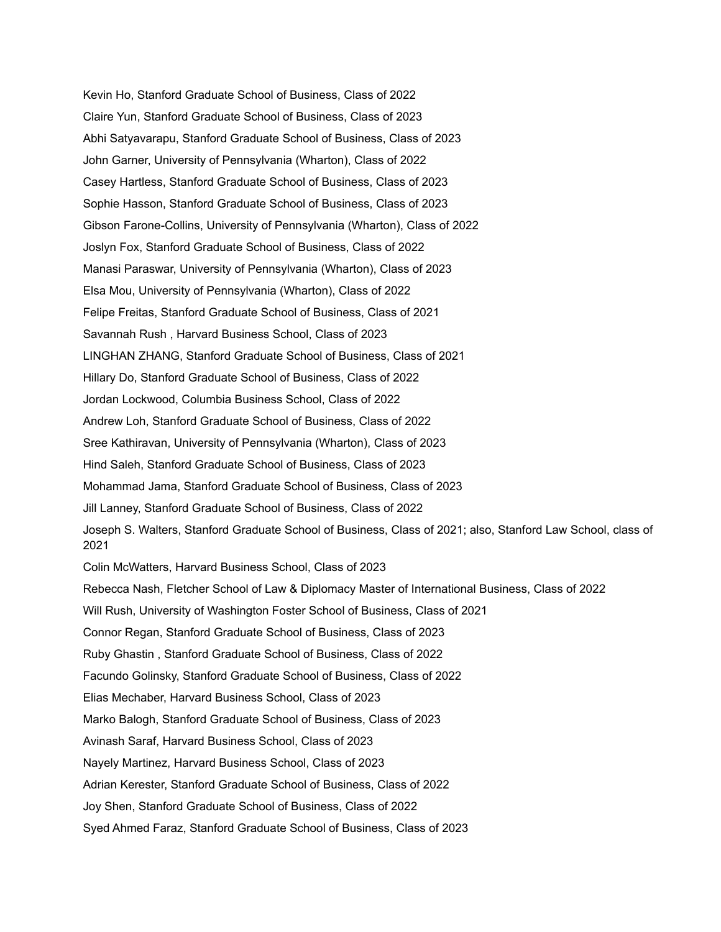Kevin Ho, Stanford Graduate School of Business, Class of 2022 Claire Yun, Stanford Graduate School of Business, Class of 2023 Abhi Satyavarapu, Stanford Graduate School of Business, Class of 2023 John Garner, University of Pennsylvania (Wharton), Class of 2022 Casey Hartless, Stanford Graduate School of Business, Class of 2023 Sophie Hasson, Stanford Graduate School of Business, Class of 2023 Gibson Farone-Collins, University of Pennsylvania (Wharton), Class of 2022 Joslyn Fox, Stanford Graduate School of Business, Class of 2022 Manasi Paraswar, University of Pennsylvania (Wharton), Class of 2023 Elsa Mou, University of Pennsylvania (Wharton), Class of 2022 Felipe Freitas, Stanford Graduate School of Business, Class of 2021 Savannah Rush , Harvard Business School, Class of 2023 LINGHAN ZHANG, Stanford Graduate School of Business, Class of 2021 Hillary Do, Stanford Graduate School of Business, Class of 2022 Jordan Lockwood, Columbia Business School, Class of 2022 Andrew Loh, Stanford Graduate School of Business, Class of 2022 Sree Kathiravan, University of Pennsylvania (Wharton), Class of 2023 Hind Saleh, Stanford Graduate School of Business, Class of 2023 Mohammad Jama, Stanford Graduate School of Business, Class of 2023 Jill Lanney, Stanford Graduate School of Business, Class of 2022 Joseph S. Walters, Stanford Graduate School of Business, Class of 2021; also, Stanford Law School, class of 2021 Colin McWatters, Harvard Business School, Class of 2023 Rebecca Nash, Fletcher School of Law & Diplomacy Master of International Business, Class of 2022 Will Rush, University of Washington Foster School of Business, Class of 2021 Connor Regan, Stanford Graduate School of Business, Class of 2023 Ruby Ghastin , Stanford Graduate School of Business, Class of 2022 Facundo Golinsky, Stanford Graduate School of Business, Class of 2022 Elias Mechaber, Harvard Business School, Class of 2023 Marko Balogh, Stanford Graduate School of Business, Class of 2023 Avinash Saraf, Harvard Business School, Class of 2023 Nayely Martinez, Harvard Business School, Class of 2023 Adrian Kerester, Stanford Graduate School of Business, Class of 2022 Joy Shen, Stanford Graduate School of Business, Class of 2022 Syed Ahmed Faraz, Stanford Graduate School of Business, Class of 2023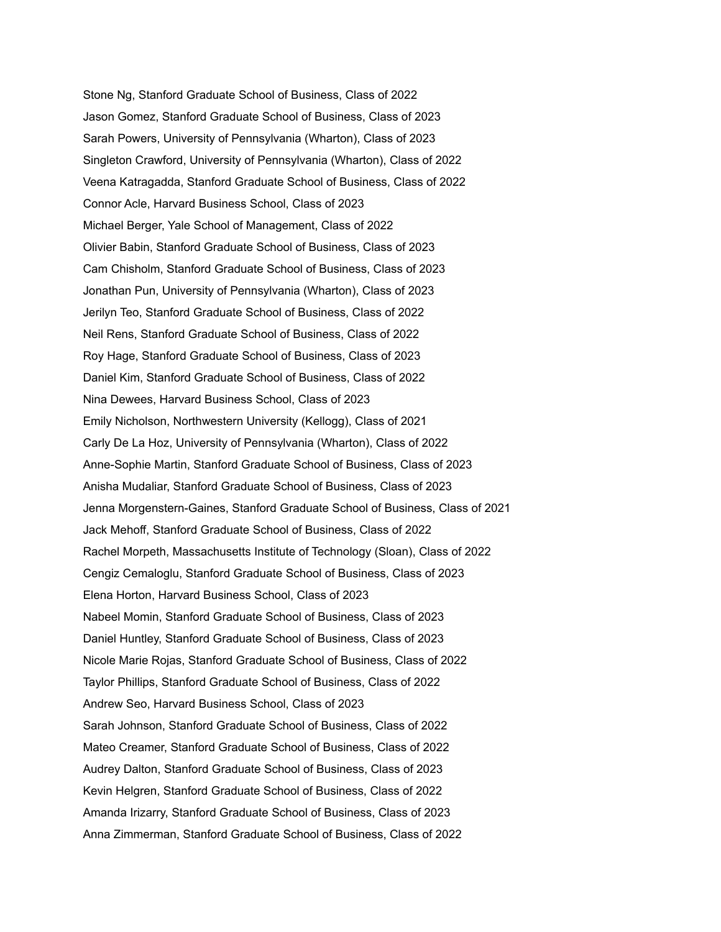Stone Ng, Stanford Graduate School of Business, Class of 2022 Jason Gomez, Stanford Graduate School of Business, Class of 2023 Sarah Powers, University of Pennsylvania (Wharton), Class of 2023 Singleton Crawford, University of Pennsylvania (Wharton), Class of 2022 Veena Katragadda, Stanford Graduate School of Business, Class of 2022 Connor Acle, Harvard Business School, Class of 2023 Michael Berger, Yale School of Management, Class of 2022 Olivier Babin, Stanford Graduate School of Business, Class of 2023 Cam Chisholm, Stanford Graduate School of Business, Class of 2023 Jonathan Pun, University of Pennsylvania (Wharton), Class of 2023 Jerilyn Teo, Stanford Graduate School of Business, Class of 2022 Neil Rens, Stanford Graduate School of Business, Class of 2022 Roy Hage, Stanford Graduate School of Business, Class of 2023 Daniel Kim, Stanford Graduate School of Business, Class of 2022 Nina Dewees, Harvard Business School, Class of 2023 Emily Nicholson, Northwestern University (Kellogg), Class of 2021 Carly De La Hoz, University of Pennsylvania (Wharton), Class of 2022 Anne-Sophie Martin, Stanford Graduate School of Business, Class of 2023 Anisha Mudaliar, Stanford Graduate School of Business, Class of 2023 Jenna Morgenstern-Gaines, Stanford Graduate School of Business, Class of 2021 Jack Mehoff, Stanford Graduate School of Business, Class of 2022 Rachel Morpeth, Massachusetts Institute of Technology (Sloan), Class of 2022 Cengiz Cemaloglu, Stanford Graduate School of Business, Class of 2023 Elena Horton, Harvard Business School, Class of 2023 Nabeel Momin, Stanford Graduate School of Business, Class of 2023 Daniel Huntley, Stanford Graduate School of Business, Class of 2023 Nicole Marie Rojas, Stanford Graduate School of Business, Class of 2022 Taylor Phillips, Stanford Graduate School of Business, Class of 2022 Andrew Seo, Harvard Business School, Class of 2023 Sarah Johnson, Stanford Graduate School of Business, Class of 2022 Mateo Creamer, Stanford Graduate School of Business, Class of 2022 Audrey Dalton, Stanford Graduate School of Business, Class of 2023 Kevin Helgren, Stanford Graduate School of Business, Class of 2022 Amanda Irizarry, Stanford Graduate School of Business, Class of 2023 Anna Zimmerman, Stanford Graduate School of Business, Class of 2022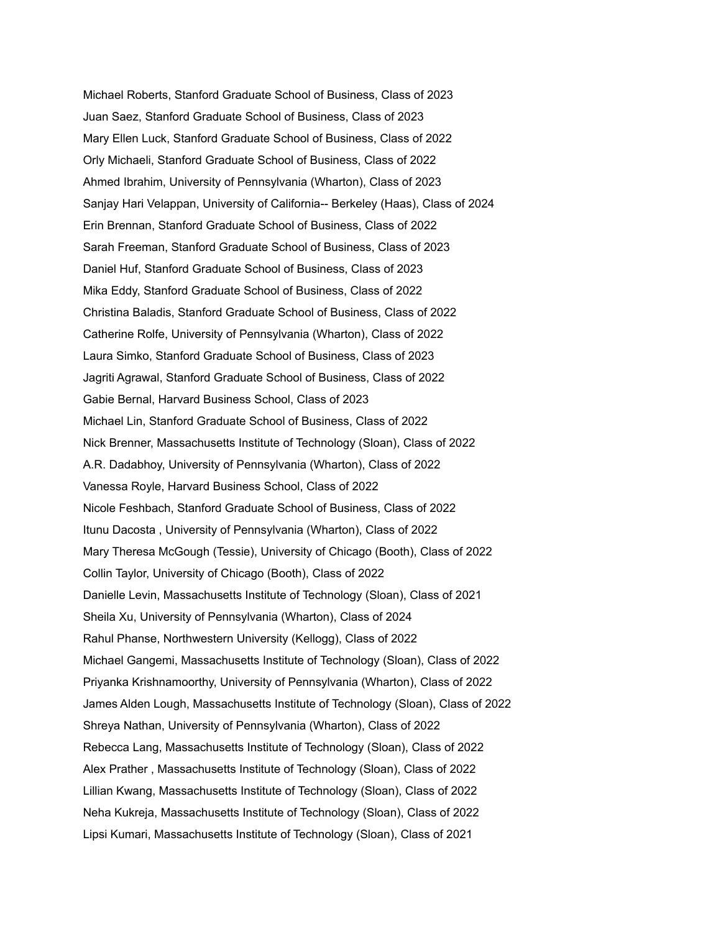Michael Roberts, Stanford Graduate School of Business, Class of 2023 Juan Saez, Stanford Graduate School of Business, Class of 2023 Mary Ellen Luck, Stanford Graduate School of Business, Class of 2022 Orly Michaeli, Stanford Graduate School of Business, Class of 2022 Ahmed Ibrahim, University of Pennsylvania (Wharton), Class of 2023 Sanjay Hari Velappan, University of California-- Berkeley (Haas), Class of 2024 Erin Brennan, Stanford Graduate School of Business, Class of 2022 Sarah Freeman, Stanford Graduate School of Business, Class of 2023 Daniel Huf, Stanford Graduate School of Business, Class of 2023 Mika Eddy, Stanford Graduate School of Business, Class of 2022 Christina Baladis, Stanford Graduate School of Business, Class of 2022 Catherine Rolfe, University of Pennsylvania (Wharton), Class of 2022 Laura Simko, Stanford Graduate School of Business, Class of 2023 Jagriti Agrawal, Stanford Graduate School of Business, Class of 2022 Gabie Bernal, Harvard Business School, Class of 2023 Michael Lin, Stanford Graduate School of Business, Class of 2022 Nick Brenner, Massachusetts Institute of Technology (Sloan), Class of 2022 A.R. Dadabhoy, University of Pennsylvania (Wharton), Class of 2022 Vanessa Royle, Harvard Business School, Class of 2022 Nicole Feshbach, Stanford Graduate School of Business, Class of 2022 Itunu Dacosta , University of Pennsylvania (Wharton), Class of 2022 Mary Theresa McGough (Tessie), University of Chicago (Booth), Class of 2022 Collin Taylor, University of Chicago (Booth), Class of 2022 Danielle Levin, Massachusetts Institute of Technology (Sloan), Class of 2021 Sheila Xu, University of Pennsylvania (Wharton), Class of 2024 Rahul Phanse, Northwestern University (Kellogg), Class of 2022 Michael Gangemi, Massachusetts Institute of Technology (Sloan), Class of 2022 Priyanka Krishnamoorthy, University of Pennsylvania (Wharton), Class of 2022 James Alden Lough, Massachusetts Institute of Technology (Sloan), Class of 2022 Shreya Nathan, University of Pennsylvania (Wharton), Class of 2022 Rebecca Lang, Massachusetts Institute of Technology (Sloan), Class of 2022 Alex Prather , Massachusetts Institute of Technology (Sloan), Class of 2022 Lillian Kwang, Massachusetts Institute of Technology (Sloan), Class of 2022 Neha Kukreja, Massachusetts Institute of Technology (Sloan), Class of 2022 Lipsi Kumari, Massachusetts Institute of Technology (Sloan), Class of 2021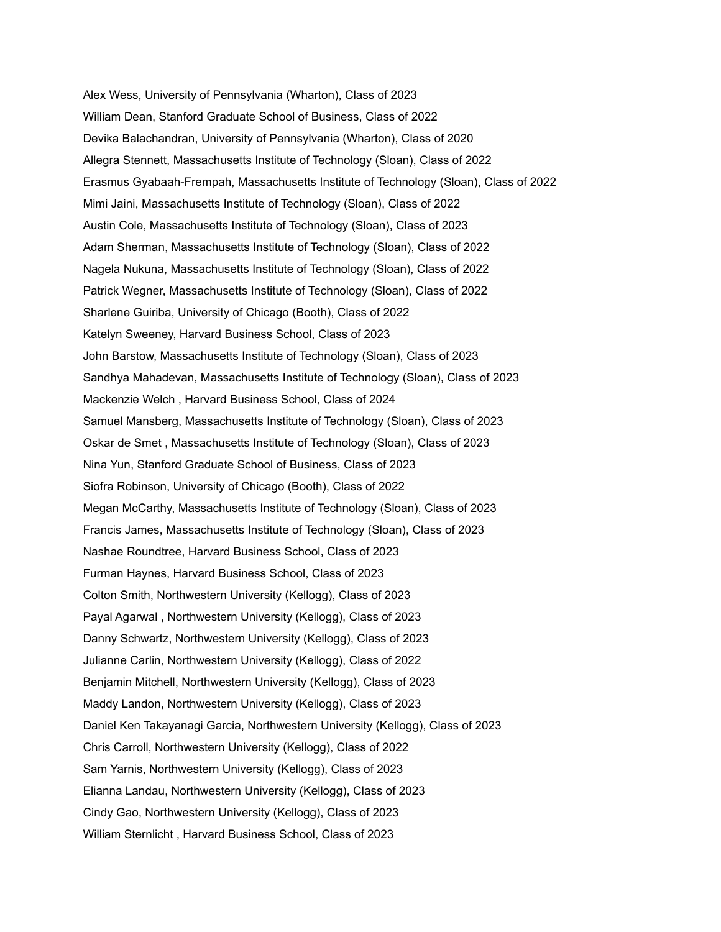Alex Wess, University of Pennsylvania (Wharton), Class of 2023 William Dean, Stanford Graduate School of Business, Class of 2022 Devika Balachandran, University of Pennsylvania (Wharton), Class of 2020 Allegra Stennett, Massachusetts Institute of Technology (Sloan), Class of 2022 Erasmus Gyabaah-Frempah, Massachusetts Institute of Technology (Sloan), Class of 2022 Mimi Jaini, Massachusetts Institute of Technology (Sloan), Class of 2022 Austin Cole, Massachusetts Institute of Technology (Sloan), Class of 2023 Adam Sherman, Massachusetts Institute of Technology (Sloan), Class of 2022 Nagela Nukuna, Massachusetts Institute of Technology (Sloan), Class of 2022 Patrick Wegner, Massachusetts Institute of Technology (Sloan), Class of 2022 Sharlene Guiriba, University of Chicago (Booth), Class of 2022 Katelyn Sweeney, Harvard Business School, Class of 2023 John Barstow, Massachusetts Institute of Technology (Sloan), Class of 2023 Sandhya Mahadevan, Massachusetts Institute of Technology (Sloan), Class of 2023 Mackenzie Welch , Harvard Business School, Class of 2024 Samuel Mansberg, Massachusetts Institute of Technology (Sloan), Class of 2023 Oskar de Smet , Massachusetts Institute of Technology (Sloan), Class of 2023 Nina Yun, Stanford Graduate School of Business, Class of 2023 Siofra Robinson, University of Chicago (Booth), Class of 2022 Megan McCarthy, Massachusetts Institute of Technology (Sloan), Class of 2023 Francis James, Massachusetts Institute of Technology (Sloan), Class of 2023 Nashae Roundtree, Harvard Business School, Class of 2023 Furman Haynes, Harvard Business School, Class of 2023 Colton Smith, Northwestern University (Kellogg), Class of 2023 Payal Agarwal , Northwestern University (Kellogg), Class of 2023 Danny Schwartz, Northwestern University (Kellogg), Class of 2023 Julianne Carlin, Northwestern University (Kellogg), Class of 2022 Benjamin Mitchell, Northwestern University (Kellogg), Class of 2023 Maddy Landon, Northwestern University (Kellogg), Class of 2023 Daniel Ken Takayanagi Garcia, Northwestern University (Kellogg), Class of 2023 Chris Carroll, Northwestern University (Kellogg), Class of 2022 Sam Yarnis, Northwestern University (Kellogg), Class of 2023 Elianna Landau, Northwestern University (Kellogg), Class of 2023 Cindy Gao, Northwestern University (Kellogg), Class of 2023 William Sternlicht , Harvard Business School, Class of 2023